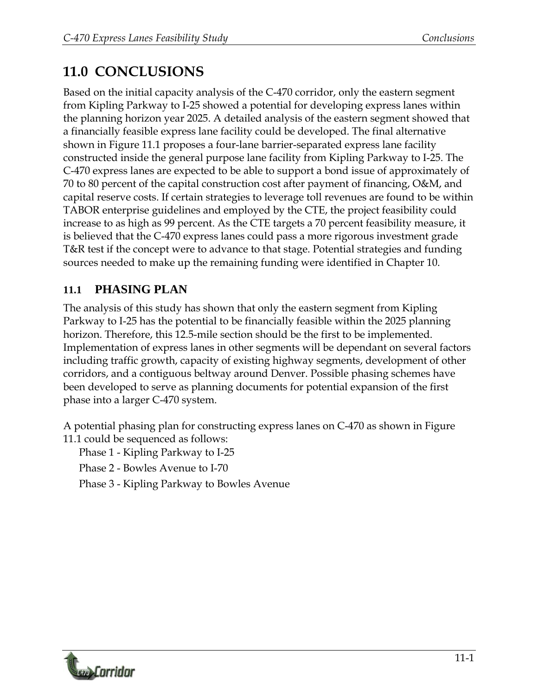## **11.0 CONCLUSIONS**

Based on the initial capacity analysis of the C-470 corridor, only the eastern segment from Kipling Parkway to I-25 showed a potential for developing express lanes within the planning horizon year 2025. A detailed analysis of the eastern segment showed that a financially feasible express lane facility could be developed. The final alternative shown in Figure 11.1 proposes a four-lane barrier-separated express lane facility constructed inside the general purpose lane facility from Kipling Parkway to I-25. The C-470 express lanes are expected to be able to support a bond issue of approximately of 70 to 80 percent of the capital construction cost after payment of financing, O&M, and capital reserve costs. If certain strategies to leverage toll revenues are found to be within TABOR enterprise guidelines and employed by the CTE, the project feasibility could increase to as high as 99 percent. As the CTE targets a 70 percent feasibility measure, it is believed that the C-470 express lanes could pass a more rigorous investment grade T&R test if the concept were to advance to that stage. Potential strategies and funding sources needed to make up the remaining funding were identified in Chapter 10.

## **11.1 PHASING PLAN**

The analysis of this study has shown that only the eastern segment from Kipling Parkway to I-25 has the potential to be financially feasible within the 2025 planning horizon. Therefore, this 12.5-mile section should be the first to be implemented. Implementation of express lanes in other segments will be dependant on several factors including traffic growth, capacity of existing highway segments, development of other corridors, and a contiguous beltway around Denver. Possible phasing schemes have been developed to serve as planning documents for potential expansion of the first phase into a larger C-470 system.

A potential phasing plan for constructing express lanes on C-470 as shown in Figure 11.1 could be sequenced as follows:

Phase 1 - Kipling Parkway to I-25

Phase 2 - Bowles Avenue to I-70

Phase 3 - Kipling Parkway to Bowles Avenue